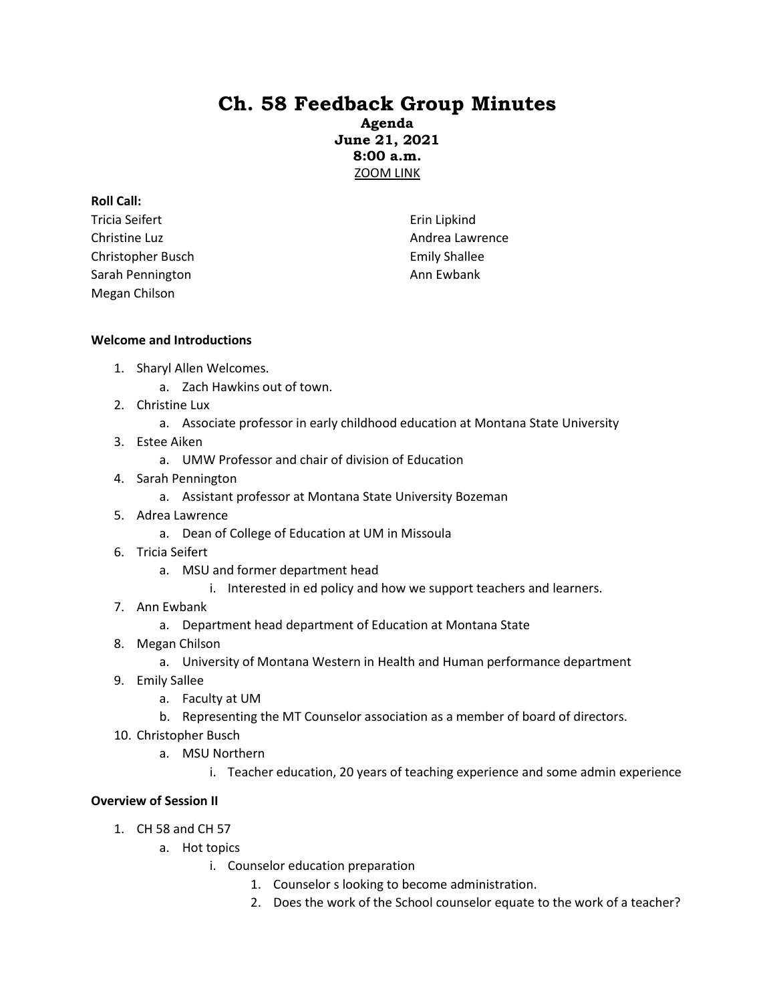# **Ch. 58 Feedback Group Minutes**

**Agenda June 21, 2021 8:00 a.m.** [ZOOM LINK](https://mt-gov.zoom.us/j/84726422563?pwd=WjlZbzFRUVFpU3A3dnpGeU1KTEw4QT09)

## **Roll Call:**

Tricia Seifert Christine Luz Christopher Busch Sarah Pennington Megan Chilson

Erin Lipkind Andrea Lawrence Emily Shallee Ann Ewbank

# **Welcome and Introductions**

- 1. Sharyl Allen Welcomes.
	- a. Zach Hawkins out of town.
- 2. Christine Lux
	- a. Associate professor in early childhood education at Montana State University
- 3. Estee Aiken
	- a. UMW Professor and chair of division of Education
- 4. Sarah Pennington
	- a. Assistant professor at Montana State University Bozeman
- 5. Adrea Lawrence
	- a. Dean of College of Education at UM in Missoula
- 6. Tricia Seifert
	- a. MSU and former department head
		- i. Interested in ed policy and how we support teachers and learners.
- 7. Ann Ewbank
	- a. Department head department of Education at Montana State
- 8. Megan Chilson
	- a. University of Montana Western in Health and Human performance department
- 9. Emily Sallee
	- a. Faculty at UM
	- b. Representing the MT Counselor association as a member of board of directors.
- 10. Christopher Busch
	- a. MSU Northern
		- i. Teacher education, 20 years of teaching experience and some admin experience

# **Overview of Session II**

- 1. CH 58 and CH 57
	- a. Hot topics
		- i. Counselor education preparation
			- 1. Counselor s looking to become administration.
			- 2. Does the work of the School counselor equate to the work of a teacher?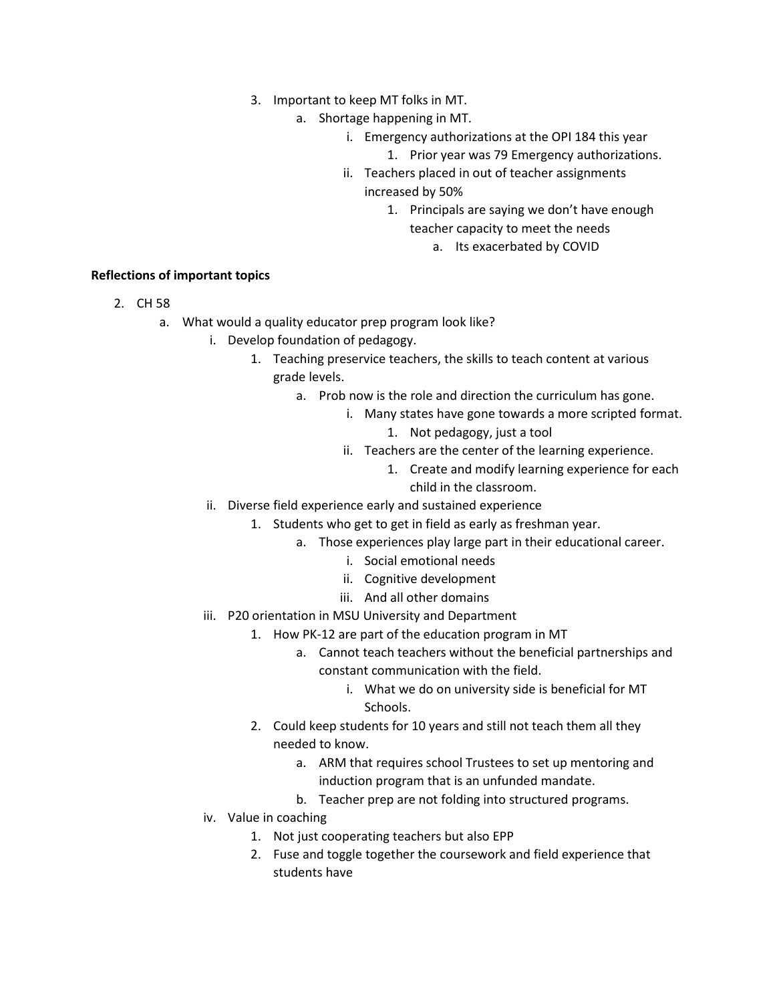- 3. Important to keep MT folks in MT.
	- a. Shortage happening in MT.
		- i. Emergency authorizations at the OPI 184 this year
			- 1. Prior year was 79 Emergency authorizations.
		- ii. Teachers placed in out of teacher assignments increased by 50%
			- 1. Principals are saying we don't have enough teacher capacity to meet the needs
				- a. Its exacerbated by COVID

# **Reflections of important topics**

- 2. CH 58
	- a. What would a quality educator prep program look like?
		- i. Develop foundation of pedagogy.
			- 1. Teaching preservice teachers, the skills to teach content at various grade levels.
				- a. Prob now is the role and direction the curriculum has gone.
					- i. Many states have gone towards a more scripted format.
						- 1. Not pedagogy, just a tool
						- ii. Teachers are the center of the learning experience.
							- 1. Create and modify learning experience for each child in the classroom.
		- ii. Diverse field experience early and sustained experience
			- 1. Students who get to get in field as early as freshman year.
				- a. Those experiences play large part in their educational career.
					- i. Social emotional needs
					- ii. Cognitive development
					- iii. And all other domains
		- iii. P20 orientation in MSU University and Department
			- 1. How PK-12 are part of the education program in MT
				- a. Cannot teach teachers without the beneficial partnerships and constant communication with the field.
					- i. What we do on university side is beneficial for MT Schools.
			- 2. Could keep students for 10 years and still not teach them all they needed to know.
				- a. ARM that requires school Trustees to set up mentoring and induction program that is an unfunded mandate.
				- b. Teacher prep are not folding into structured programs.
		- iv. Value in coaching
			- 1. Not just cooperating teachers but also EPP
			- 2. Fuse and toggle together the coursework and field experience that students have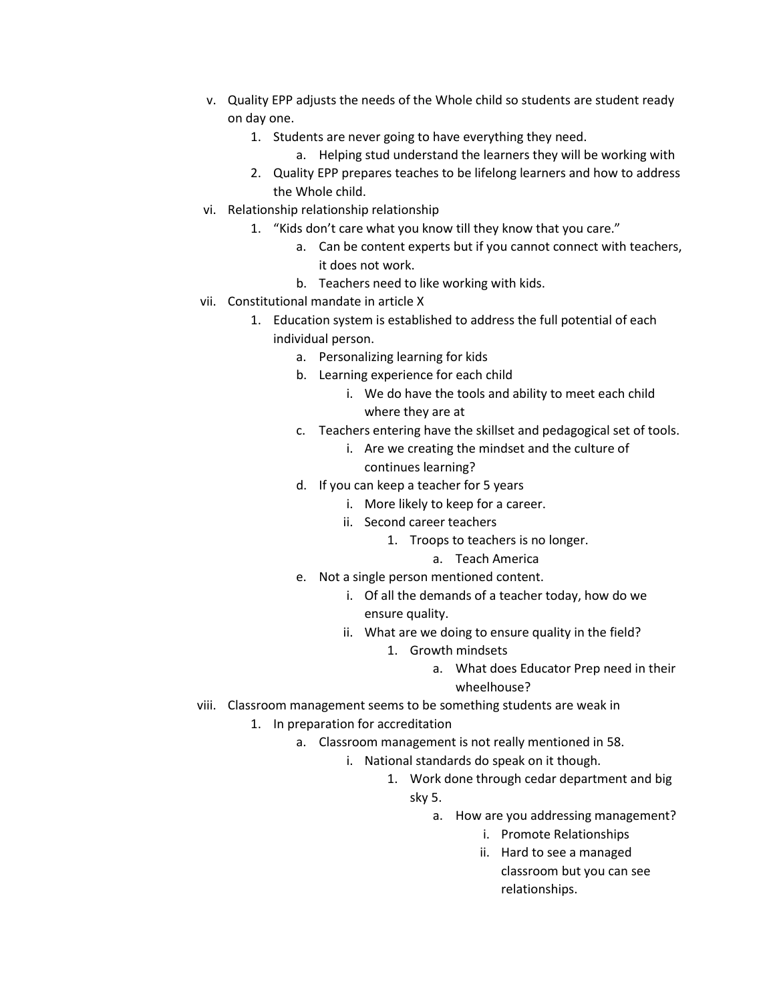- v. Quality EPP adjusts the needs of the Whole child so students are student ready on day one.
	- 1. Students are never going to have everything they need.
		- a. Helping stud understand the learners they will be working with
	- 2. Quality EPP prepares teaches to be lifelong learners and how to address the Whole child.
- vi. Relationship relationship relationship
	- 1. "Kids don't care what you know till they know that you care."
		- a. Can be content experts but if you cannot connect with teachers, it does not work.
		- b. Teachers need to like working with kids.
- vii. Constitutional mandate in article X
	- 1. Education system is established to address the full potential of each individual person.
		- a. Personalizing learning for kids
		- b. Learning experience for each child
			- i. We do have the tools and ability to meet each child where they are at
		- c. Teachers entering have the skillset and pedagogical set of tools.
			- i. Are we creating the mindset and the culture of continues learning?
		- d. If you can keep a teacher for 5 years
			- i. More likely to keep for a career.
			- ii. Second career teachers
				- 1. Troops to teachers is no longer.
					- a. Teach America
		- e. Not a single person mentioned content.
			- i. Of all the demands of a teacher today, how do we ensure quality.
			- ii. What are we doing to ensure quality in the field?
				- 1. Growth mindsets
					- a. What does Educator Prep need in their wheelhouse?
- viii. Classroom management seems to be something students are weak in
	- 1. In preparation for accreditation
		- a. Classroom management is not really mentioned in 58.
			- i. National standards do speak on it though.
				- 1. Work done through cedar department and big sky 5.
					-
					- a. How are you addressing management?
						- i. Promote Relationships
						- ii. Hard to see a managed classroom but you can see relationships.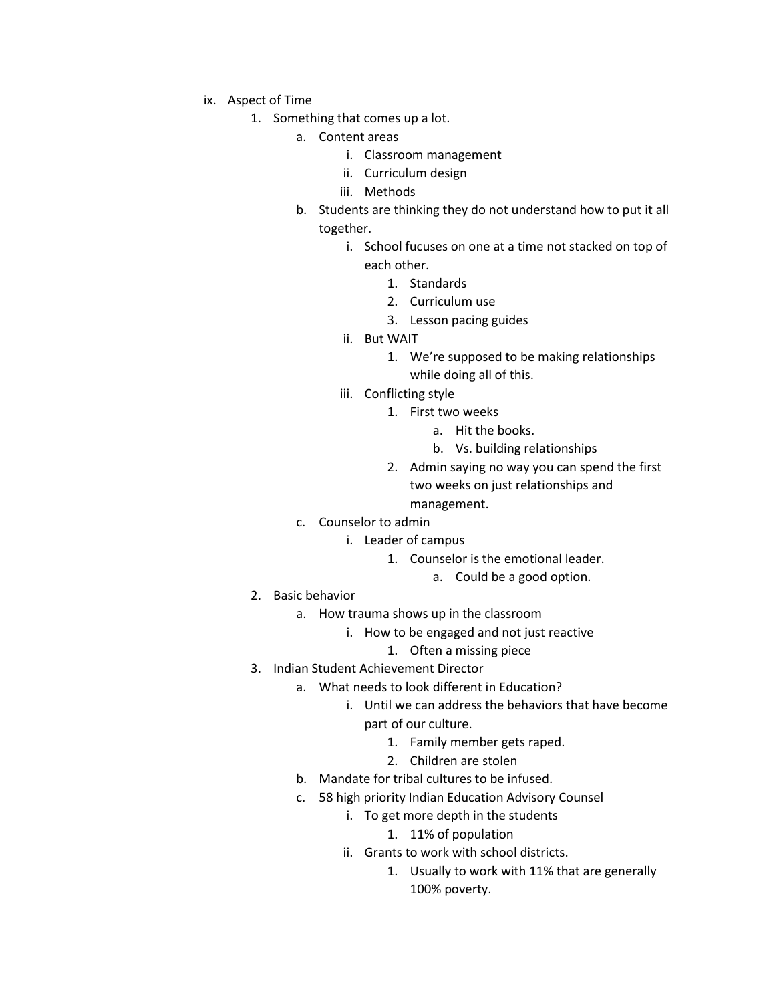- ix. Aspect of Time
	- 1. Something that comes up a lot.
		- a. Content areas
			- i. Classroom management
			- ii. Curriculum design
			- iii. Methods
		- b. Students are thinking they do not understand how to put it all together.
			- i. School fucuses on one at a time not stacked on top of each other.
				- 1. Standards
				- 2. Curriculum use
				- 3. Lesson pacing guides
			- ii. But WAIT
				- 1. We're supposed to be making relationships while doing all of this.
			- iii. Conflicting style
				- 1. First two weeks
					- a. Hit the books.
					- b. Vs. building relationships
				- 2. Admin saying no way you can spend the first two weeks on just relationships and

management.

- c. Counselor to admin
	- i. Leader of campus
		- 1. Counselor is the emotional leader.
			- a. Could be a good option.
- 2. Basic behavior
	- a. How trauma shows up in the classroom
		- i. How to be engaged and not just reactive
			- 1. Often a missing piece
- 3. Indian Student Achievement Director
	- a. What needs to look different in Education?
		- i. Until we can address the behaviors that have become part of our culture.
			- 1. Family member gets raped.
			- 2. Children are stolen
		- b. Mandate for tribal cultures to be infused.
		- c. 58 high priority Indian Education Advisory Counsel
			- i. To get more depth in the students
				- 1. 11% of population
			- ii. Grants to work with school districts.
				- 1. Usually to work with 11% that are generally 100% poverty.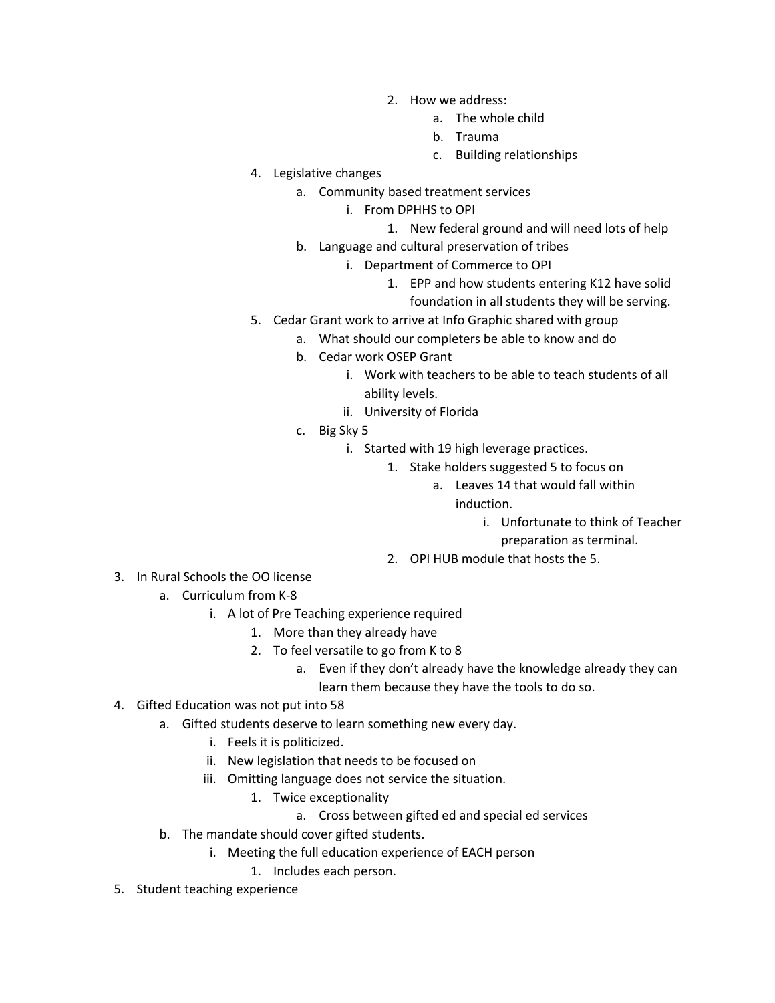- 2. How we address:
	- a. The whole child
	- b. Trauma
	- c. Building relationships
- 4. Legislative changes
	- a. Community based treatment services
		- i. From DPHHS to OPI
			- 1. New federal ground and will need lots of help
	- b. Language and cultural preservation of tribes
		- i. Department of Commerce to OPI
			- 1. EPP and how students entering K12 have solid foundation in all students they will be serving.
- 5. Cedar Grant work to arrive at Info Graphic shared with group
	- a. What should our completers be able to know and do
	- b. Cedar work OSEP Grant
		- i. Work with teachers to be able to teach students of all ability levels.
		- ii. University of Florida
	- c. Big Sky 5
		- i. Started with 19 high leverage practices.
			- 1. Stake holders suggested 5 to focus on
				- a. Leaves 14 that would fall within induction.
					- i. Unfortunate to think of Teacher
					- preparation as terminal.
			- 2. OPI HUB module that hosts the 5.
- 3. In Rural Schools the OO license
	- a. Curriculum from K-8
		- i. A lot of Pre Teaching experience required
			- 1. More than they already have
			- 2. To feel versatile to go from K to 8
				- a. Even if they don't already have the knowledge already they can learn them because they have the tools to do so.
- 4. Gifted Education was not put into 58
	- a. Gifted students deserve to learn something new every day.
		- i. Feels it is politicized.
		- ii. New legislation that needs to be focused on
		- iii. Omitting language does not service the situation.
			- 1. Twice exceptionality
				- a. Cross between gifted ed and special ed services
	- b. The mandate should cover gifted students.
		- i. Meeting the full education experience of EACH person
			- 1. Includes each person.
- 5. Student teaching experience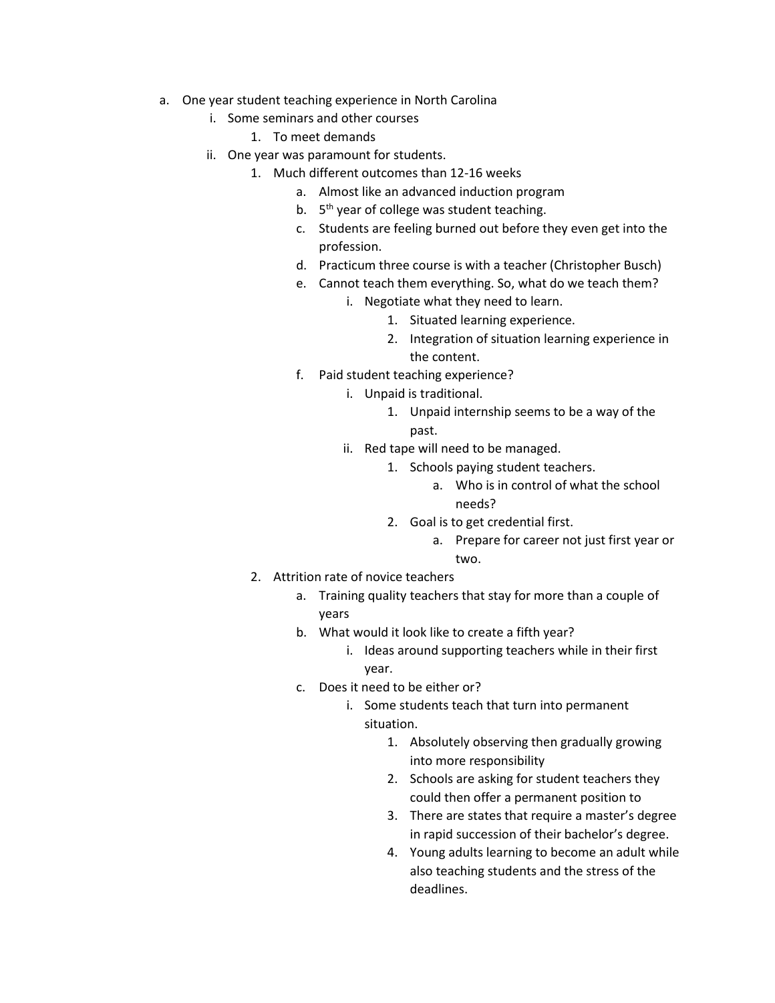- a. One year student teaching experience in North Carolina
	- i. Some seminars and other courses
		- 1. To meet demands
	- ii. One year was paramount for students.
		- 1. Much different outcomes than 12-16 weeks
			- a. Almost like an advanced induction program
			- b. 5<sup>th</sup> year of college was student teaching.
			- c. Students are feeling burned out before they even get into the profession.
			- d. Practicum three course is with a teacher (Christopher Busch)
			- e. Cannot teach them everything. So, what do we teach them?
				- i. Negotiate what they need to learn.
					- 1. Situated learning experience.
					- 2. Integration of situation learning experience in the content.
			- f. Paid student teaching experience?
				- i. Unpaid is traditional.
					- 1. Unpaid internship seems to be a way of the past.
				- ii. Red tape will need to be managed.
					- 1. Schools paying student teachers.
						- a. Who is in control of what the school needs?
					- 2. Goal is to get credential first.
						- a. Prepare for career not just first year or two.
		- 2. Attrition rate of novice teachers
			- a. Training quality teachers that stay for more than a couple of years
			- b. What would it look like to create a fifth year?
				- i. Ideas around supporting teachers while in their first year.
			- c. Does it need to be either or?
				- i. Some students teach that turn into permanent situation.
					- 1. Absolutely observing then gradually growing into more responsibility
					- 2. Schools are asking for student teachers they could then offer a permanent position to
					- 3. There are states that require a master's degree in rapid succession of their bachelor's degree.
					- 4. Young adults learning to become an adult while also teaching students and the stress of the deadlines.